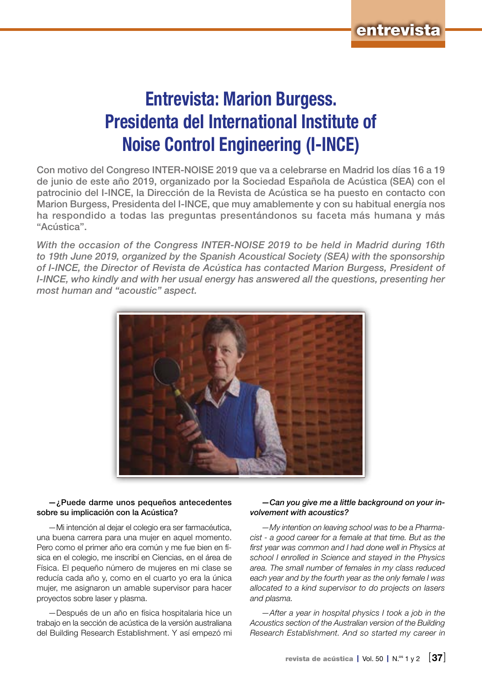## Entrevista: Marion Burgess. Presidenta del International Institute of Noise Control Engineering (I-INCE)

Con motivo del Congreso INTER-NOISE 2019 que va a celebrarse en Madrid los días 16 a 19 de junio de este año 2019, organizado por la Sociedad Española de Acústica (SEA) con el patrocinio del I-INCE, la Dirección de la Revista de Acústica se ha puesto en contacto con Marion Burgess, Presidenta del I-INCE, que muy amablemente y con su habitual energía nos ha respondido a todas las preguntas presentándonos su faceta más humana y más "Acústica".

*With the occasion of the Congress INTER-NOISE 2019 to be held in Madrid during 16th to 19th June 2019, organized by the Spanish Acoustical Society (SEA) with the sponsorship of I-INCE, the Director of Revista de Acústica has contacted Marion Burgess, President of I-INCE, who kindly and with her usual energy has answered all the questions, presenting her most human and "acoustic" aspect.*



#### —¿Puede darme unos pequeños antecedentes sobre su implicación con la Acústica?

—Mi intención al dejar el colegio era ser farmacéutica, una buena carrera para una mujer en aquel momento. Pero como el primer año era común y me fue bien en física en el colegio, me inscribí en Ciencias, en el área de Física. El pequeño número de mujeres en mi clase se reducía cada año y, como en el cuarto yo era la única mujer, me asignaron un amable supervisor para hacer proyectos sobre laser y plasma.

—Después de un año en física hospitalaria hice un trabajo en la sección de acústica de la versión australiana del Building Research Establishment. Y así empezó mi

#### *—Can you give me a little background on your involvement with acoustics?*

*—My intention on leaving school was to be a Pharmacist - a good career for a female at that time. But as the first year was common and I had done well in Physics at school I enrolled in Science and stayed in the Physics area. The small number of females in my class reduced each year and by the fourth year as the only female I was allocated to a kind supervisor to do projects on lasers and plasma.*

*—After a year in hospital physics I took a job in the Acoustics section of the Australian version of the Building Research Establishment. And so started my career in*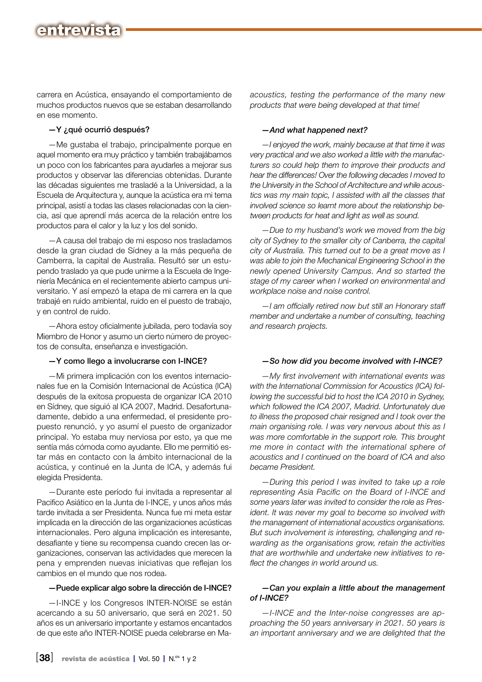## entrevista

carrera en Acústica, ensayando el comportamiento de muchos productos nuevos que se estaban desarrollando en ese momento.

#### —Y ¿qué ocurrió después?

—Me gustaba el trabajo, principalmente porque en aquel momento era muy práctico y también trabajábamos un poco con los fabricantes para ayudarles a mejorar sus productos y observar las diferencias obtenidas. Durante las décadas siguientes me trasladé a la Universidad, a la Escuela de Arquitectura y, aunque la acústica era mi tema principal, asistí a todas las clases relacionadas con la ciencia, así que aprendí más acerca de la relación entre los productos para el calor y la luz y los del sonido.

—A causa del trabajo de mi esposo nos trasladamos desde la gran ciudad de Sídney a la más pequeña de Camberra, la capital de Australia. Resultó ser un estupendo traslado ya que pude unirme a la Escuela de Ingeniería Mecánica en el recientemente abierto campus universitario. Y así empezó la etapa de mi carrera en la que trabajé en ruido ambiental, ruido en el puesto de trabajo, y en control de ruido.

—Ahora estoy oficialmente jubilada, pero todavía soy Miembro de Honor y asumo un cierto número de proyectos de consulta, enseñanza e investigación.

#### —Y como llego a involucrarse con I-INCE?

—Mi primera implicación con los eventos internacionales fue en la Comisión Internacional de Acústica (ICA) después de la exitosa propuesta de organizar ICA 2010 en Sídney, que siguió al ICA 2007, Madrid. Desafortunadamente, debido a una enfermedad, el presidente propuesto renunció, y yo asumí el puesto de organizador principal. Yo estaba muy nerviosa por esto, ya que me sentía más cómoda como ayudante. Ello me permitió estar más en contacto con la ámbito internacional de la acústica, y continué en la Junta de ICA, y además fui elegida Presidenta.

—Durante este período fui invitada a representar al Pacifico Asiático en la Junta de I-INCE, y unos años más tarde invitada a ser Presidenta. Nunca fue mi meta estar implicada en la dirección de las organizaciones acústicas internacionales. Pero alguna implicación es interesante, desafiante y tiene su recompensa cuando crecen las organizaciones, conservan las actividades que merecen la pena y emprenden nuevas iniciativas que reflejan los cambios en el mundo que nos rodea.

#### —Puede explicar algo sobre la dirección de I-INCE?

—I-INCE y los Congresos INTER-NOISE se están acercando a su 50 aniversario, que será en 2021. 50 años es un aniversario importante y estamos encantados de que este año INTER-NOISE pueda celebrarse en Ma*acoustics, testing the performance of the many new products that were being developed at that time!*

#### *—And what happened next?*

*—I enjoyed the work, mainly because at that time it was very practical and we also worked a little with the manufacturers so could help them to improve their products and hear the differences! Over the following decades I moved to the University in the School of Architecture and while acoustics was my main topic, I assisted with all the classes that involved science so learnt more about the relationship between products for heat and light as well as sound.*

*—Due to my husband's work we moved from the big city of Sydney to the smaller city of Canberra, the capital city of Australia. This turned out to be a great move as I was able to join the Mechanical Engineering School in the newly opened University Campus. And so started the stage of my career when I worked on environmental and workplace noise and noise control.* 

*—I am officially retired now but still an Honorary staff member and undertake a number of consulting, teaching and research projects.*

#### *—So how did you become involved with I-INCE?*

*—My first involvement with international events was with the International Commission for Acoustics (ICA) following the successful bid to host the ICA 2010 in Sydney, which followed the ICA 2007, Madrid. Unfortunately due to illness the proposed chair resigned and I took over the main organising role. I was very nervous about this as I was more comfortable in the support role. This brought me more in contact with the international sphere of acoustics and I continued on the board of ICA and also became President.*

*—During this period I was invited to take up a role representing Asia Pacific on the Board of I-INCE and some years later was invited to consider the role as President. It was never my goal to become so involved with the management of international acoustics organisations. But such involvement is interesting, challenging and rewarding as the organisations grow, retain the activities that are worthwhile and undertake new initiatives to reflect the changes in world around us.*

#### *—Can you explain a little about the management of I-INCE?*

*—I-INCE and the Inter-noise congresses are approaching the 50 years anniversary in 2021. 50 years is an important anniversary and we are delighted that the*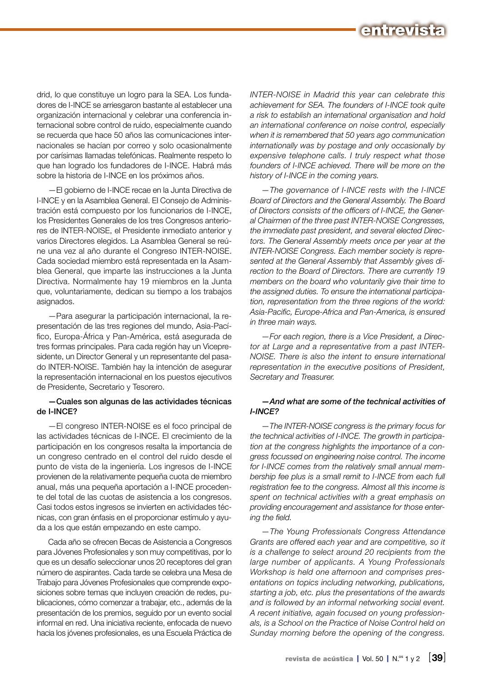

drid, lo que constituye un logro para la SEA. Los fundadores de I-INCE se arriesgaron bastante al establecer una organización internacional y celebrar una conferencia internacional sobre control de ruido, especialmente cuando se recuerda que hace 50 años las comunicaciones internacionales se hacían por correo y solo ocasionalmente por carísimas llamadas telefónicas. Realmente respeto lo que han logrado los fundadores de I-INCE. Habrá más sobre la historia de I-INCE en los próximos años.

—El gobierno de I-INCE recae en la Junta Directiva de I-INCE y en la Asamblea General. El Consejo de Administración está compuesto por los funcionarios de I-INCE, los Presidentes Generales de los tres Congresos anteriores de INTER-NOISE, el Presidente inmediato anterior y varios Directores elegidos. La Asamblea General se reúne una vez al año durante el Congreso INTER-NOISE. Cada sociedad miembro está representada en la Asamblea General, que imparte las instrucciones a la Junta Directiva. Normalmente hay 19 miembros en la Junta que, voluntariamente, dedican su tiempo a los trabajos asignados.

—Para asegurar la participación internacional, la representación de las tres regiones del mundo, Asia-Pacífico, Europa-África y Pan-América, está asegurada de tres formas principales. Para cada región hay un Vicepresidente, un Director General y un representante del pasado INTER-NOISE. También hay la intención de asegurar la representación internacional en los puestos ejecutivos de Presidente, Secretario y Tesorero.

#### —Cuales son algunas de las actividades técnicas de I-INCE?

—El congreso INTER-NOISE es el foco principal de las actividades técnicas de I-INCE. El crecimiento de la participación en los congresos resalta la importancia de un congreso centrado en el control del ruido desde el punto de vista de la ingeniería. Los ingresos de I-INCE provienen de la relativamente pequeña cuota de miembro anual, más una pequeña aportación a I-INCE procedente del total de las cuotas de asistencia a los congresos. Casi todos estos ingresos se invierten en actividades técnicas, con gran énfasis en el proporcionar estímulo y ayuda a los que están empezando en este campo.

Cada año se ofrecen Becas de Asistencia a Congresos para Jóvenes Profesionales y son muy competitivas, por lo que es un desafío seleccionar unos 20 receptores del gran número de aspirantes. Cada tarde se celebra una Mesa de Trabajo para Jóvenes Profesionales que comprende exposiciones sobre temas que incluyen creación de redes, publicaciones, cómo comenzar a trabajar, etc., además de la presentación de los premios, seguido por un evento social informal en red. Una iniciativa reciente, enfocada de nuevo hacia los jóvenes profesionales, es una Escuela Práctica de *INTER-NOISE in Madrid this year can celebrate this achievement for SEA. The founders of I-INCE took quite a risk to establish an international organisation and hold an international conference on noise control, especially when it is remembered that 50 years ago communication internationally was by postage and only occasionally by expensive telephone calls. I truly respect what those founders of I-INCE achieved. There will be more on the history of I-INCE in the coming years.*

*—The governance of I-INCE rests with the I-INCE Board of Directors and the General Assembly. The Board of Directors consists of the officers of I-INCE, the General Chairmen of the three past INTER-NOISE Congresses, the immediate past president, and several elected Directors. The General Assembly meets once per year at the INTER-NOISE Congress. Each member society is represented at the General Assembly that Assembly gives direction to the Board of Directors. There are currently 19 members on the board who voluntarily give their time to the assigned duties. To ensure the international participation, representation from the three regions of the world: Asia-Pacific, Europe-Africa and Pan-America, is ensured in three main ways.*

*—For each region, there is a Vice President, a Director at Large and a representative from a past INTER-NOISE. There is also the intent to ensure international representation in the executive positions of President, Secretary and Treasurer.* 

#### *—And what are some of the technical activities of I-INCE?*

*—The INTER-NOISE congress is the primary focus for the technical activities of I-INCE. The growth in participation at the congress highlights the importance of a congress focussed on engineering noise control. The income for I-INCE comes from the relatively small annual membership fee plus is a small remit to I-INCE from each full registration fee to the congress. Almost all this income is spent on technical activities with a great emphasis on providing encouragement and assistance for those entering the field.*

*—The Young Professionals Congress Attendance Grants are offered each year and are competitive, so it is a challenge to select around 20 recipients from the large number of applicants. A Young Professionals Workshop is held one afternoon and comprises presentations on topics including networking, publications, starting a job, etc. plus the presentations of the awards and is followed by an informal networking social event. A recent initiative, again focused on young professionals, is a School on the Practice of Noise Control held on Sunday morning before the opening of the congress.*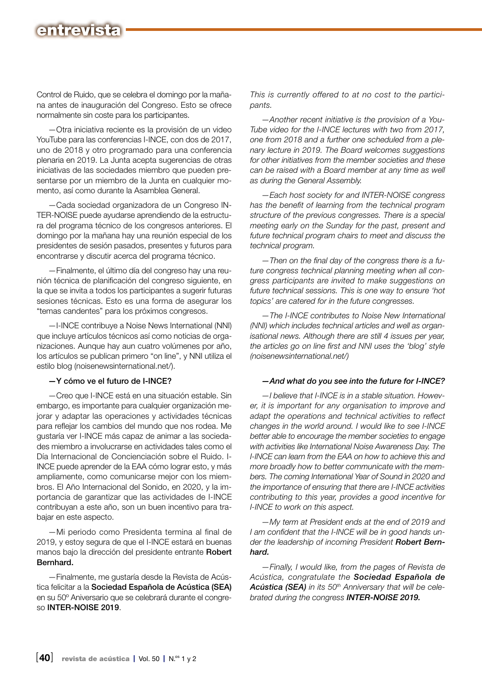## entrevist

Control de Ruido, que se celebra el domingo por la mañana antes de inauguración del Congreso. Esto se ofrece normalmente sin coste para los participantes.

—Otra iniciativa reciente es la provisión de un video YouTube para las conferencias I-INCE, con dos de 2017, uno de 2018 y otro programado para una conferencia plenaria en 2019. La Junta acepta sugerencias de otras iniciativas de las sociedades miembro que pueden presentarse por un miembro de la Junta en cualquier momento, así como durante la Asamblea General.

—Cada sociedad organizadora de un Congreso IN-TER-NOISE puede ayudarse aprendiendo de la estructura del programa técnico de los congresos anteriores. El domingo por la mañana hay una reunión especial de los presidentes de sesión pasados, presentes y futuros para encontrarse y discutir acerca del programa técnico.

—Finalmente, el último día del congreso hay una reunión técnica de planificación del congreso siguiente, en la que se invita a todos los participantes a sugerir futuras sesiones técnicas. Esto es una forma de asegurar los "temas candentes" para los próximos congresos.

—I-INCE contribuye a Noise News International (NNI) que incluye artículos técnicos así como noticias de organizaciones. Aunque hay aun cuatro volúmenes por año, los artículos se publican primero "on line", y NNI utiliza el estilo blog (noisenewsinternational.net/).

#### —Y cómo ve el futuro de I-INCE?

—Creo que I-INCE está en una situación estable. Sin embargo, es importante para cualquier organización mejorar y adaptar las operaciones y actividades técnicas para reflejar los cambios del mundo que nos rodea. Me gustaría ver I-INCE más capaz de animar a las sociedades miembro a involucrarse en actividades tales como el Día Internacional de Concienciación sobre el Ruido. I-INCE puede aprender de la EAA cómo lograr esto, y más ampliamente, como comunicarse mejor con los miembros. El Año Internacional del Sonido, en 2020, y la importancia de garantizar que las actividades de I-INCE contribuyan a este año, son un buen incentivo para trabajar en este aspecto.

—Mi periodo como Presidenta termina al final de 2019, y estoy segura de que el I-INCE estará en buenas manos bajo la dirección del presidente entrante Robert Bernhard.

—Finalmente, me gustaría desde la Revista de Acústica felicitar a la Sociedad Española de Acústica (SEA) en su 50º Aniversario que se celebrará durante el congreso INTER-NOISE 2019.

*This is currently offered to at no cost to the participants.*

*—Another recent initiative is the provision of a You-Tube video for the I-INCE lectures with two from 2017, one from 2018 and a further one scheduled from a plenary lecture in 2019. The Board welcomes suggestions for other initiatives from the member societies and these can be raised with a Board member at any time as well as during the General Assembly.* 

*—Each host society for and INTER-NOISE congress has the benefit of learning from the technical program structure of the previous congresses. There is a special meeting early on the Sunday for the past, present and future technical program chairs to meet and discuss the technical program.*

*—Then on the final day of the congress there is a future congress technical planning meeting when all congress participants are invited to make suggestions on future technical sessions. This is one way to ensure 'hot topics' are catered for in the future congresses.*

*—The I-INCE contributes to Noise New International (NNI) which includes technical articles and well as organisational news. Although there are still 4 issues per year, the articles go on line first and NNI uses the 'blog' style (noisenewsinternational.net/)*

#### *—And what do you see into the future for I-INCE?*

*—I believe that I-INCE is in a stable situation. However, it is important for any organisation to improve and adapt the operations and technical activities to reflect changes in the world around. I would like to see I-INCE better able to encourage the member societies to engage with activities like International Noise Awareness Day. The I-INCE can learn from the EAA on how to achieve this and more broadly how to better communicate with the members. The coming International Year of Sound in 2020 and the importance of ensuring that there are I-INCE activities contributing to this year, provides a good incentive for I-INCE to work on this aspect.* 

*—My term at President ends at the end of 2019 and I am confident that the I-INCE will be in good hands under the leadership of incoming President Robert Bernhard.*

*—Finally, I would like, from the pages of Revista de Acústica, congratulate the Sociedad Española de Acústica (SEA) in its 50th Anniversary that will be celebrated during the congress INTER-NOISE 2019.*